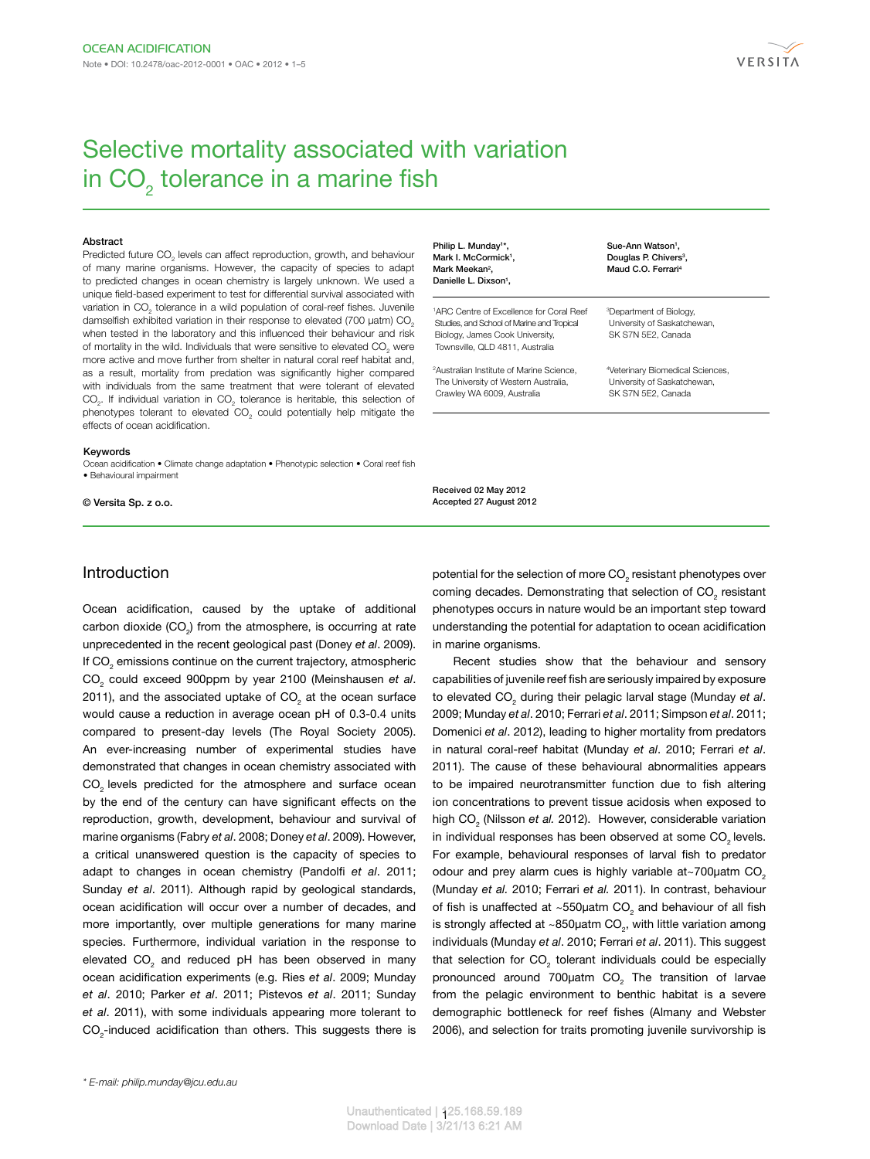

# Selective mortality associated with variation in CO<sub>2</sub> tolerance in a marine fish

#### **Abstract**

Predicted future  $CO_2$  levels can affect reproduction, growth, and behaviour of many marine organisms. However, the capacity of species to adapt to predicted changes in ocean chemistry is largely unknown. We used a unique field-based experiment to test for differential survival associated with variation in CO<sub>2</sub> tolerance in a wild population of coral-reef fishes. Juvenile damselfish exhibited variation in their response to elevated (700 µatm) CO<sub>2</sub> when tested in the laboratory and this influenced their behaviour and risk of mortality in the wild. Individuals that were sensitive to elevated  $CO_{2}$  were more active and move further from shelter in natural coral reef habitat and, as a result, mortality from predation was significantly higher compared with individuals from the same treatment that were tolerant of elevated  $CO<sub>2</sub>$ . If individual variation in  $CO<sub>2</sub>$  tolerance is heritable, this selection of phenotypes tolerant to elevated  $CO<sub>2</sub>$  could potentially help mitigate the effects of ocean acidification.

#### Keywords

Ocean acidification • Climate change adaptation • Phenotypic selection • Coral reef fish • Behavioural impairment

© Versita Sp. z o.o.

## Introduction

Ocean acidification, caused by the uptake of additional carbon dioxide (CO<sub>2</sub>) from the atmosphere, is occurring at rate unprecedented in the recent geological past (Doney *et al*. 2009). If CO<sub>2</sub> emissions continue on the current trajectory, atmospheric CO2 could exceed 900ppm by year 2100 (Meinshausen *et al*. 2011), and the associated uptake of CO<sub>2</sub> at the ocean surface would cause a reduction in average ocean pH of 0.3-0.4 units compared to present-day levels (The Royal Society 2005). An ever-increasing number of experimental studies have demonstrated that changes in ocean chemistry associated with CO<sub>2</sub> levels predicted for the atmosphere and surface ocean by the end of the century can have significant effects on the reproduction, growth, development, behaviour and survival of marine organisms (Fabry *et al*. 2008; Doney *et al*. 2009). However, a critical unanswered question is the capacity of species to adapt to changes in ocean chemistry (Pandolfi *et al*. 2011; Sunday *et al*. 2011). Although rapid by geological standards, ocean acidification will occur over a number of decades, and more importantly, over multiple generations for many marine species. Furthermore, individual variation in the response to elevated  $\mathsf{CO}_2^{}$  and reduced pH has been observed in many ocean acidification experiments (e.g. Ries *et al*. 2009; Munday *et al*. 2010; Parker *et al*. 2011; Pistevos *et al*. 2011; Sunday *et al*. 2011), with some individuals appearing more tolerant to  $\mathrm{CO}_2$ -induced acidification than others. This suggests there is Philip L. Munday<sup>1\*</sup>, Mark I. McCormick<sup>1</sup>, Mark Meekan<sup>2</sup>, Danielle L. Dixson<sup>1</sup>,

1 ARC Centre of Excellence for Coral Reef Studies, and School of Marine and Tropical Biology, James Cook University, Townsville, QLD 4811, Australia

2 Australian Institute of Marine Science, The University of Western Australia, Crawley WA 6009, Australia

Sue-Ann Watson<sup>1</sup>, Douglas P. Chivers<sup>3</sup>, Maud C.O. Ferrari<sup>4</sup>

3 Department of Biology, University of Saskatchewan, SK S7N 5E2, Canada

4 Veterinary Biomedical Sciences, University of Saskatchewan, SK S7N 5E2, Canada

Received 02 May 2012 Accepted 27 August 2012

potential for the selection of more  $\mathrm{CO}_2$  resistant phenotypes over coming decades. Demonstrating that selection of  $CO_{2}$  resistant phenotypes occurs in nature would be an important step toward understanding the potential for adaptation to ocean acidification in marine organisms.

Recent studies show that the behaviour and sensory capabilities of juvenile reef fish are seriously impaired by exposure to elevated CO<sub>2</sub> during their pelagic larval stage (Munday et al. 2009; Munday *et al*. 2010; Ferrari *et al*. 2011; Simpson *et al*. 2011; Domenici *et al*. 2012), leading to higher mortality from predators in natural coral-reef habitat (Munday *et al*. 2010; Ferrari *et al*. 2011). The cause of these behavioural abnormalities appears to be impaired neurotransmitter function due to fish altering ion concentrations to prevent tissue acidosis when exposed to high CO<sub>2</sub> (Nilsson *et al.* 2012). However, considerable variation in individual responses has been observed at some CO<sub>2</sub> levels. For example, behavioural responses of larval fish to predator odour and prey alarm cues is highly variable at~700 $\mu$ atm CO<sub>2</sub> (Munday *et al.* 2010; Ferrari *et al.* 2011). In contrast, behaviour of fish is unaffected at  $\sim$ 550 $\mu$ atm CO<sub>2</sub> and behaviour of all fish is strongly affected at  $\sim$ 850µatm CO<sub>2</sub>, with little variation among individuals (Munday *et al*. 2010; Ferrari *et al*. 2011). This suggest that selection for  $CO<sub>2</sub>$  tolerant individuals could be especially pronounced around 700 $\mu$ atm CO<sub>2</sub> The transition of larvae from the pelagic environment to benthic habitat is a severe demographic bottleneck for reef fishes (Almany and Webster 2006), and selection for traits promoting juvenile survivorship is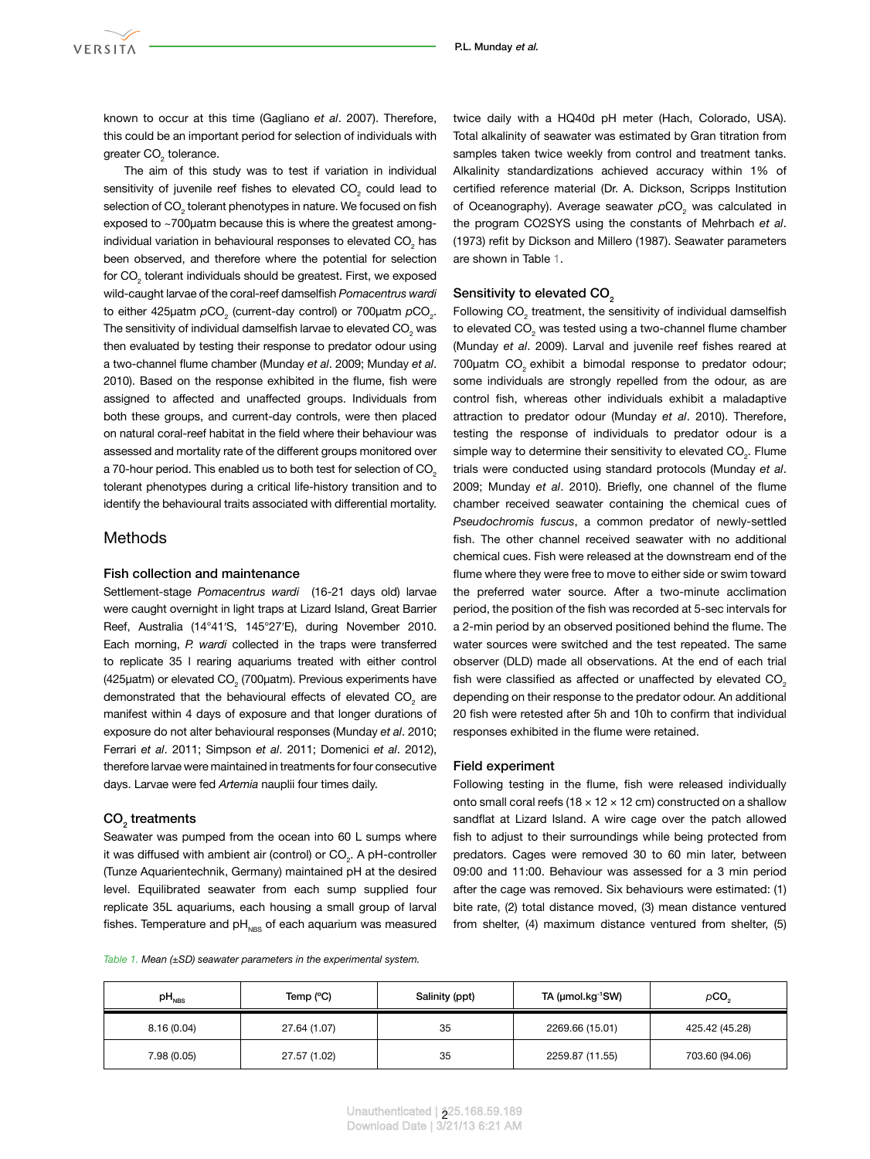known to occur at this time (Gagliano *et al*. 2007). Therefore, this could be an important period for selection of individuals with greater CO<sub>2</sub> tolerance.

The aim of this study was to test if variation in individual sensitivity of juvenile reef fishes to elevated  $CO<sub>2</sub>$  could lead to selection of CO $_{_2}$  tolerant phenotypes in nature. We focused on fish exposed to ~700µatm because this is where the greatest amongindividual variation in behavioural responses to elevated  $\mathsf{CO}_{_2}$  has been observed, and therefore where the potential for selection for CO<sub>2</sub> tolerant individuals should be greatest. First, we exposed wild-caught larvae of the coral-reef damselfish *Pomacentrus wardi* to either 425µatm  $pCO<sub>2</sub>$  (current-day control) or 700µatm  $pCO<sub>2</sub>$ . The sensitivity of individual damselfish larvae to elevated CO $_{_2}$  was then evaluated by testing their response to predator odour using a two-channel flume chamber (Munday *et al*. 2009; Munday *et al*. 2010). Based on the response exhibited in the flume, fish were assigned to affected and unaffected groups. Individuals from both these groups, and current-day controls, were then placed on natural coral-reef habitat in the field where their behaviour was assessed and mortality rate of the different groups monitored over a 70-hour period. This enabled us to both test for selection of CO<sub>2</sub> tolerant phenotypes during a critical life-history transition and to identify the behavioural traits associated with differential mortality.

# **Methods**

## Fish collection and maintenance

Settlement-stage *Pomacentrus wardi* (16-21 days old) larvae were caught overnight in light traps at Lizard Island, Great Barrier Reef, Australia (14°41′S, 145°27′E), during November 2010. Each morning, *P. wardi* collected in the traps were transferred to replicate 35 l rearing aquariums treated with either control (425 $\mu$ atm) or elevated CO<sub>2</sub> (700 $\mu$ atm). Previous experiments have demonstrated that the behavioural effects of elevated  $CO<sub>2</sub>$  are manifest within 4 days of exposure and that longer durations of exposure do not alter behavioural responses (Munday *et al*. 2010; Ferrari *et al*. 2011; Simpson *et al*. 2011; Domenici *et al*. 2012), therefore larvae were maintained in treatments for four consecutive days. Larvae were fed *Artemia* nauplii four times daily.

# $\mathsf{CO}_2$  treatments

Seawater was pumped from the ocean into 60 L sumps where it was diffused with ambient air (control) or  $\mathsf{CO}_2$ . A pH-controller (Tunze Aquarientechnik, Germany) maintained pH at the desired level. Equilibrated seawater from each sump supplied four replicate 35L aquariums, each housing a small group of larval fishes. Temperature and  $pH_{NBS}$  of each aquarium was measured

<span id="page-1-0"></span>*Table 1. Mean (±SD) seawater parameters in the experimental system.* 

| $pH_{NBS}$  | Temp (°C)    | Salinity (ppt) | TA (µmol.kg-1SW) | pCO <sub>2</sub> |
|-------------|--------------|----------------|------------------|------------------|
| 8.16(0.04)  | 27.64 (1.07) | 35             | 2269.66 (15.01)  | 425.42 (45.28)   |
| 7.98 (0.05) | 27.57 (1.02) | 35             | 2259.87 (11.55)  | 703.60 (94.06)   |

twice daily with a HQ40d pH meter (Hach, Colorado, USA). Total alkalinity of seawater was estimated by Gran titration from samples taken twice weekly from control and treatment tanks. Alkalinity standardizations achieved accuracy within 1% of certified reference material (Dr. A. Dickson, Scripps Institution of Oceanography). Average seawater  $pCO<sub>2</sub>$  was calculated in the program CO2SYS using the constants of Mehrbach *et al*. (1973) refit by Dickson and Millero (1987). Seawater parameters are shown in Table [1](#page-1-0).

# Sensitivity to elevated CO<sub>2</sub>

Following  $CO_{2}$  treatment, the sensitivity of individual damselfish to elevated CO<sub>2</sub> was tested using a two-channel flume chamber (Munday *et al*. 2009). Larval and juvenile reef fishes reared at 700µatm CO<sub>c</sub> exhibit a bimodal response to predator odour; some individuals are strongly repelled from the odour, as are control fish, whereas other individuals exhibit a maladaptive attraction to predator odour (Munday *et al*. 2010). Therefore, testing the response of individuals to predator odour is a simple way to determine their sensitivity to elevated  $CO_{2}$ . Flume trials were conducted using standard protocols (Munday *et al*. 2009; Munday *et al*. 2010). Briefly, one channel of the flume chamber received seawater containing the chemical cues of *Pseudochromis fuscus*, a common predator of newly-settled fish. The other channel received seawater with no additional chemical cues. Fish were released at the downstream end of the flume where they were free to move to either side or swim toward the preferred water source. After a two-minute acclimation period, the position of the fish was recorded at 5-sec intervals for a 2-min period by an observed positioned behind the flume. The water sources were switched and the test repeated. The same observer (DLD) made all observations. At the end of each trial fish were classified as affected or unaffected by elevated CO<sub>2</sub> depending on their response to the predator odour. An additional 20 fish were retested after 5h and 10h to confirm that individual responses exhibited in the flume were retained.

#### Field experiment

Following testing in the flume, fish were released individually onto small coral reefs (18  $\times$  12  $\times$  12 cm) constructed on a shallow sandflat at Lizard Island. A wire cage over the patch allowed fish to adjust to their surroundings while being protected from predators. Cages were removed 30 to 60 min later, between 09:00 and 11:00. Behaviour was assessed for a 3 min period after the cage was removed. Six behaviours were estimated: (1) bite rate, (2) total distance moved, (3) mean distance ventured from shelter, (4) maximum distance ventured from shelter, (5)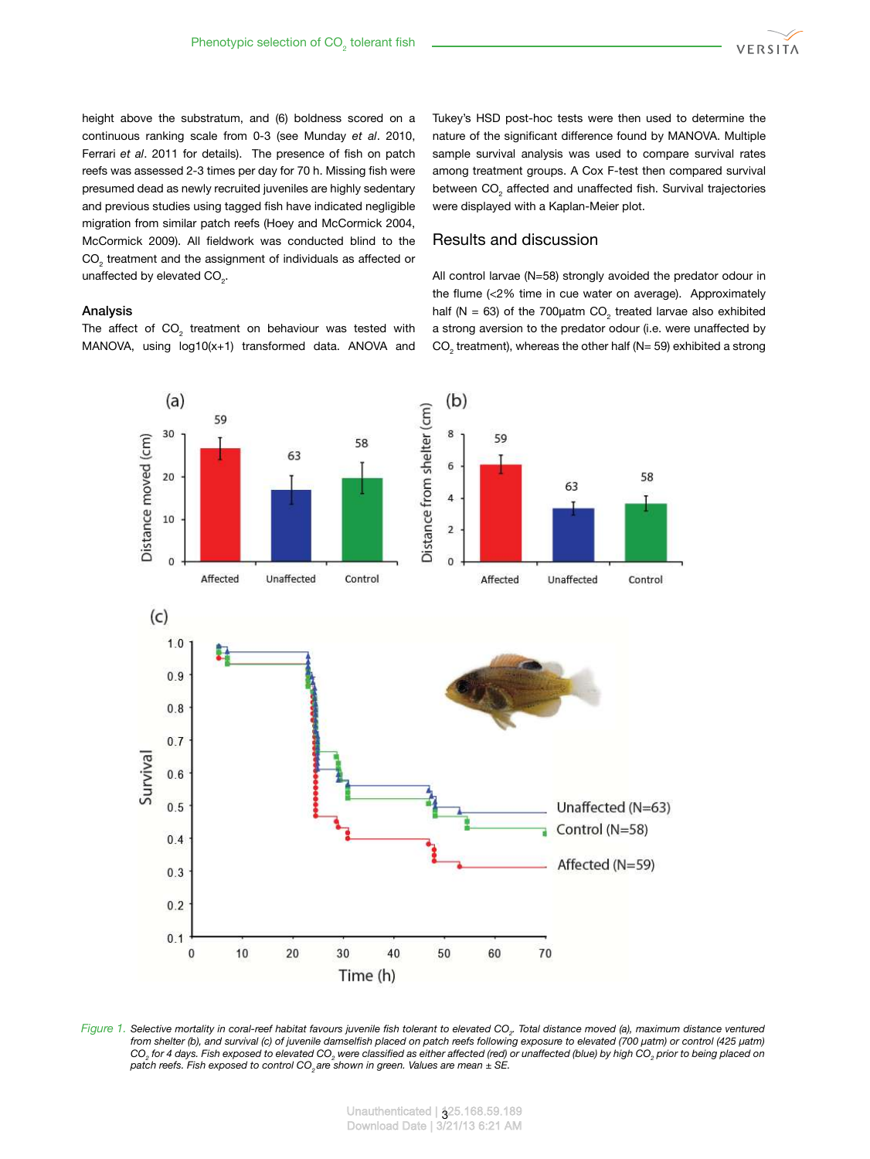

height above the substratum, and (6) boldness scored on a continuous ranking scale from 0-3 (see Munday *et al*. 2010, Ferrari *et al*. 2011 for details). The presence of fish on patch reefs was assessed 2-3 times per day for 70 h. Missing fish were presumed dead as newly recruited juveniles are highly sedentary and previous studies using tagged fish have indicated negligible migration from similar patch reefs (Hoey and McCormick 2004, McCormick 2009). All fieldwork was conducted blind to the  $\mathrm{CO}_2$  treatment and the assignment of individuals as affected or unaffected by elevated  $CO_{2}$ .

## Analysis

The affect of  $\mathrm{CO}_2$  treatment on behaviour was tested with MANOVA, using log10(x+1) transformed data. ANOVA and

Tukey's HSD post-hoc tests were then used to determine the nature of the significant difference found by MANOVA. Multiple sample survival analysis was used to compare survival rates among treatment groups. A Cox F-test then compared survival between  $\mathrm{CO}_2$  affected and unaffected fish. Survival trajectories were displayed with a Kaplan-Meier plot.

# Results and discussion

<span id="page-2-0"></span>All control larvae (N=58) strongly avoided the predator odour in the flume (<2% time in cue water on average). Approximately half (N = 63) of the 700  $\mu$ atm CO<sub>2</sub> treated larvae also exhibited a strong aversion to the predator odour (i.e. were unaffected by  $CO<sub>2</sub>$  treatment), whereas the other half (N= 59) exhibited a strong



*Figure 1. Selective mortality in coral-reef habitat favours juvenile fish tolerant to elevated CO<sup>2</sup> . Total distance moved (a), maximum distance ventured from shelter (b), and survival (c) of juvenile damselfish placed on patch reefs following exposure to elevated (700 µatm) or control (425 µatm) CO<sup>2</sup> for 4 days. Fish exposed to elevated CO<sup>2</sup> were classified as either affected (red) or unaffected (blue) by high CO<sup>2</sup> prior to being placed on patch reefs. Fish exposed to control CO2 are shown in green. Values are mean ± SE.*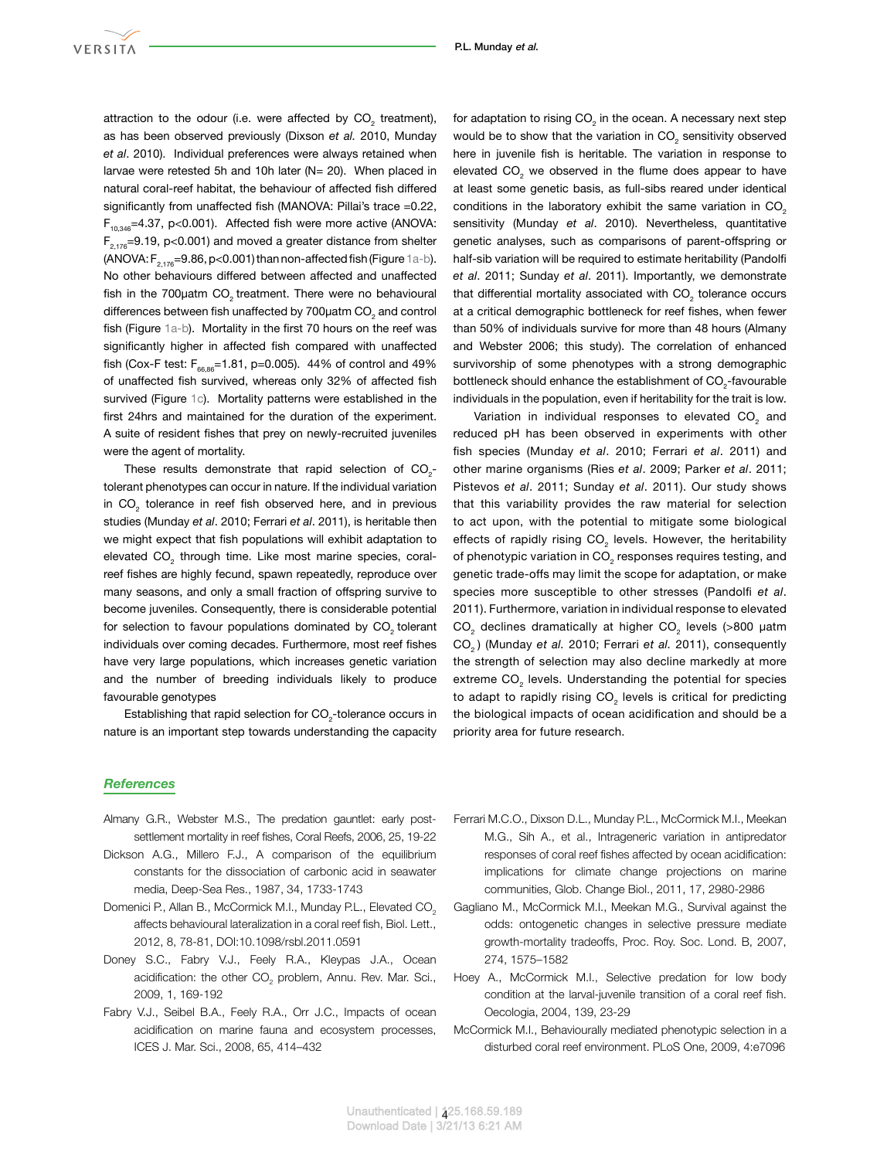attraction to the odour (i.e. were affected by  $CO_{2}$  treatment), as has been observed previously (Dixson *et al.* 2010, Munday *et al*. 2010). Individual preferences were always retained when larvae were retested 5h and 10h later (N= 20). When placed in natural coral-reef habitat, the behaviour of affected fish differed significantly from unaffected fish (MANOVA: Pillai's trace =0.22,  $F_{10,346}$ =4.37, p<0.001). Affected fish were more active (ANOVA:  $F_{2,176}$ =9.19, p<0.001) and moved a greater distance from shelter (ANOVA:  $F_{2,176}$ =9.86, p<0.001) than non-affected fish (Figure [1a-b\)](#page-2-0). No other behaviours differed between affected and unaffected fish in the 700uatm CO<sub>2</sub> treatment. There were no behavioural differences between fish unaffected by 700 $\mu$ atm CO<sub>2</sub> and control fish (Figure [1a-b](#page-2-0)). Mortality in the first 70 hours on the reef was significantly higher in affected fish compared with unaffected fish (Cox-F test:  $F_{66,86}$ =1.81, p=0.005). 44% of control and 49% of unaffected fish survived, whereas only 32% of affected fish survived (Figure [1c](#page-2-0)). Mortality patterns were established in the first 24hrs and maintained for the duration of the experiment. A suite of resident fishes that prey on newly-recruited juveniles were the agent of mortality.

These results demonstrate that rapid selection of  $CO_{2}$ tolerant phenotypes can occur in nature. If the individual variation in  $CO<sub>2</sub>$  tolerance in reef fish observed here, and in previous studies (Munday *et al*. 2010; Ferrari *et al*. 2011), is heritable then we might expect that fish populations will exhibit adaptation to elevated  $\mathrm{CO}_2^{}$  through time. Like most marine species, coralreef fishes are highly fecund, spawn repeatedly, reproduce over many seasons, and only a small fraction of offspring survive to become juveniles. Consequently, there is considerable potential for selection to favour populations dominated by CO<sub>2</sub> tolerant individuals over coming decades. Furthermore, most reef fishes have very large populations, which increases genetic variation and the number of breeding individuals likely to produce favourable genotypes

Establishing that rapid selection for  $CO_{2}$ -tolerance occurs in nature is an important step towards understanding the capacity

### *References*

- Almany G.R., Webster M.S., The predation gauntlet: early postsettlement mortality in reef fishes, Coral Reefs, 2006, 25, 19-22
- Dickson A.G., Millero F.J., A comparison of the equilibrium constants for the dissociation of carbonic acid in seawater media, Deep-Sea Res., 1987, 34, 1733-1743
- Domenici P., Allan B., McCormick M.I., Munday P.L., Elevated CO<sub>2</sub> affects behavioural lateralization in a coral reef fish, Biol. Lett., 2012, 8, 78-81, DOI:10.1098/rsbl.2011.0591
- Doney S.C., Fabry V.J., Feely R.A., Kleypas J.A., Ocean acidification: the other  $CO_2$  problem, Annu. Rev. Mar. Sci., 2009, 1, 169-192
- Fabry V.J., Seibel B.A., Feely R.A., Orr J.C., Impacts of ocean acidification on marine fauna and ecosystem processes, ICES J. Mar. Sci., 2008, 65, 414–432

for adaptation to rising CO<sub>2</sub> in the ocean. A necessary next step would be to show that the variation in  $CO_2$  sensitivity observed here in juvenile fish is heritable. The variation in response to elevated CO<sub>2</sub> we observed in the flume does appear to have at least some genetic basis, as full-sibs reared under identical conditions in the laboratory exhibit the same variation in CO<sub>2</sub> sensitivity (Munday *et al*. 2010). Nevertheless, quantitative genetic analyses, such as comparisons of parent-offspring or half-sib variation will be required to estimate heritability (Pandolfi *et al*. 2011; Sunday *et al*. 2011). Importantly, we demonstrate that differential mortality associated with  $CO_2$  tolerance occurs at a critical demographic bottleneck for reef fishes, when fewer than 50% of individuals survive for more than 48 hours (Almany and Webster 2006; this study). The correlation of enhanced survivorship of some phenotypes with a strong demographic bottleneck should enhance the establishment of  $CO_{2}$ -favourable individuals in the population, even if heritability for the trait is low.

Variation in individual responses to elevated CO<sub>2</sub> and reduced pH has been observed in experiments with other fish species (Munday *et al*. 2010; Ferrari *et al*. 2011) and other marine organisms (Ries *et al*. 2009; Parker *et al*. 2011; Pistevos *et al*. 2011; Sunday *et al*. 2011). Our study shows that this variability provides the raw material for selection to act upon, with the potential to mitigate some biological effects of rapidly rising CO<sub>2</sub> levels. However, the heritability of phenotypic variation in CO<sub>2</sub> responses requires testing, and genetic trade-offs may limit the scope for adaptation, or make species more susceptible to other stresses (Pandolfi *et al*. 2011). Furthermore, variation in individual response to elevated CO<sub>2</sub> declines dramatically at higher CO<sub>2</sub> levels (>800 µatm CO2 ) (Munday *et al.* 2010; Ferrari *et al.* 2011), consequently the strength of selection may also decline markedly at more extreme CO<sub>2</sub> levels. Understanding the potential for species to adapt to rapidly rising CO<sub>2</sub> levels is critical for predicting the biological impacts of ocean acidification and should be a priority area for future research.

- Ferrari M.C.O., Dixson D.L., Munday P.L., McCormick M.I., Meekan M.G., Sih A., et al., Intrageneric variation in antipredator responses of coral reef fishes affected by ocean acidification: implications for climate change projections on marine communities, Glob. Change Biol., 2011, 17, 2980-2986
- Gagliano M., McCormick M.I., Meekan M.G., Survival against the odds: ontogenetic changes in selective pressure mediate growth-mortality tradeoffs, Proc. Roy. Soc. Lond. B, 2007, 274, 1575–1582
- Hoey A., McCormick M.I., Selective predation for low body condition at the larval-juvenile transition of a coral reef fish. Oecologia, 2004, 139, 23-29
- McCormick M.I., Behaviourally mediated phenotypic selection in a disturbed coral reef environment. PLoS One, 2009, 4:e7096